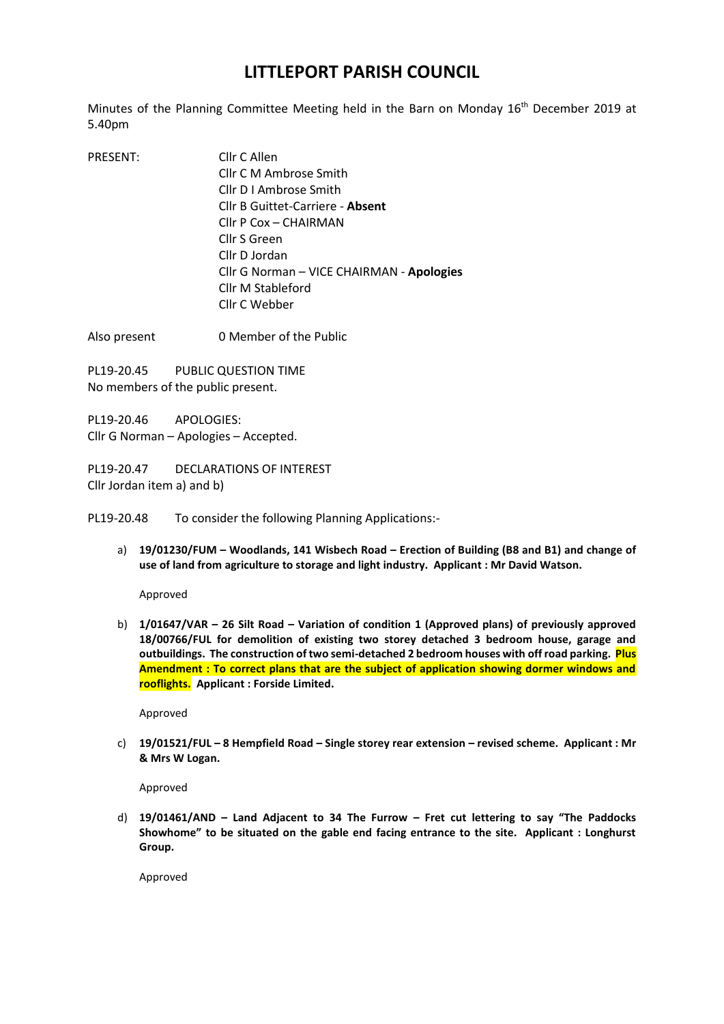## **LITTLEPORT PARISH COUNCIL**

Minutes of the Planning Committee Meeting held in the Barn on Monday 16<sup>th</sup> December 2019 at 5.40pm

PRESENT: Cllr C Allen Cllr C M Ambrose Smith Cllr D I Ambrose Smith Cllr B Guittet-Carriere - **Absent** Cllr P Cox – CHAIRMAN Cllr S Green Cllr D Jordan Cllr G Norman – VICE CHAIRMAN - **Apologies** Cllr M Stableford Cllr C Webber

Also present 0 Member of the Public

PL19-20.45 PUBLIC QUESTION TIME No members of the public present.

PL19-20.46 APOLOGIES: Cllr G Norman – Apologies – Accepted.

PL19-20.47 DECLARATIONS OF INTEREST Cllr Jordan item a) and b)

PL19-20.48 To consider the following Planning Applications:-

a) **19/01230/FUM – Woodlands, 141 Wisbech Road – Erection of Building (B8 and B1) and change of use of land from agriculture to storage and light industry. Applicant : Mr David Watson.**

Approved

b) **1/01647/VAR – 26 Silt Road – Variation of condition 1 (Approved plans) of previously approved 18/00766/FUL for demolition of existing two storey detached 3 bedroom house, garage and outbuildings. The construction of two semi-detached 2 bedroom houses with off road parking. Plus Amendment : To correct plans that are the subject of application showing dormer windows and rooflights. Applicant : Forside Limited.**

Approved

c) **19/01521/FUL – 8 Hempfield Road – Single storey rear extension – revised scheme. Applicant : Mr & Mrs W Logan.**

Approved

d) **19/01461/AND – Land Adjacent to 34 The Furrow – Fret cut lettering to say "The Paddocks Showhome" to be situated on the gable end facing entrance to the site. Applicant : Longhurst Group.**

Approved